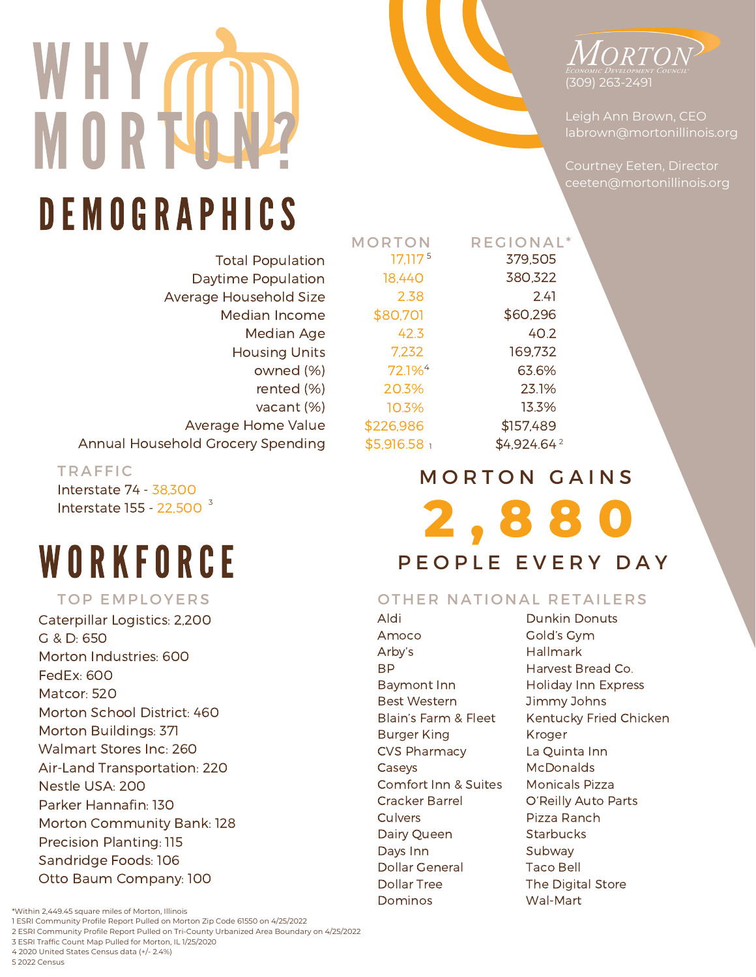



Leigh Ann Brown, CEO labrown@mortonillinois.org

Courtney Eeten, Director ceeten@mortonillinois.org

# DE MOGRAPHICS

Total Population Daytime Population Average Household Size Median Income Median Age Housing Units owned (%) rented (%) vacant (%) Average Home Value Annual Household Grocery Spending

TRAFFIC

Interstate 74 - 38,300 Interstate 155 - 22,500<sup>3</sup>

# WORKFORCE

### TOP EMPLOYERS

Caterpillar Logistics: 2,200 G & D: 650 Morton Industries: 600 FedEx: 600 Matcor: 520 Morton School District: 460 Morton Buildings: 371 Walmart Stores Inc: 260 Air-Land Transportation: 220 Nestle USA: 200 Parker Hannafin: 130 Morton Community Bank: 128 Precision Planting: 115 Sandridge Foods: 106 Otto Baum Company: 100

#### 72.1% 4 20.3% 10.3% \$226,986 \$5,916.58 1 **2 , 8 8 0** MORTON GAINS \$4,924.64<sup>2</sup> 63.6% 23.1% 13.3% \$157,489

REGIONAL<sup>\*</sup>

379,505 380,322 2.41 \$60,296 40.2 169,732

P F O P L E L E V E R Y D A Y

## OTHER NATIONAL RETAILERS

Aldi Amoco Arby's BP Baymont Inn Best Western Blain's Farm & Fleet Burger King CVS Pharmacy Caseys Comfort Inn & Suites Cracker Barrel Culvers Dairy Queen Days Inn Dollar General Dollar Tree Dominos

**MORTON** 

17,117 518,440 2.38 \$80,701 42.3 7,232

> Dunkin Donuts Gold's Gym Hallmark Harvest Bread Co. Holiday Inn Express Jimmy Johns Kentucky Fried Chicken Kroger La Quinta Inn McDonalds Monicals Pizza O'Reilly Auto Parts Pizza Ranch **Starbucks** Subway Taco Bell The Digital Store Wal-Mart

1 ESRI Community Profile Report Pulled on Morton Zip Code 61550 on 4/25/2022 2 ESRI Community Profile Report Pulled on Tri-County Urbanized Area Boundary on 4/25/2022

- 
- 3 ESRI Traffic Count Map Pulled for Morton, IL 1/25/2020
- 4 2020 United States Census data (+/- 2.4%)
- 5 2022 Census

<sup>\*</sup>Within 2,449.45 square miles of Morton, Illinois